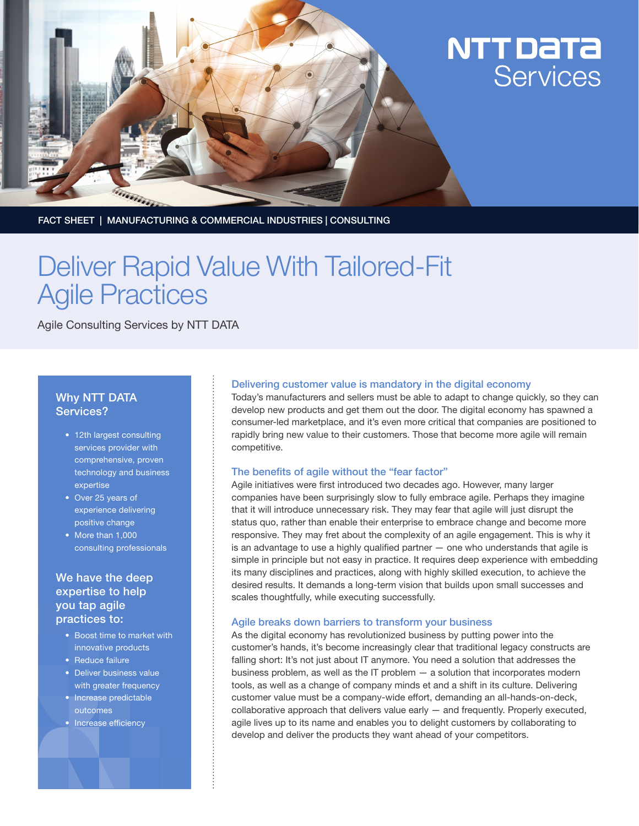

# NTT DaTa Services

FACT SHEET | MANUFACTURING & COMMERCIAL INDUSTRIES | CONSULTING

# Deliver Rapid Value With Tailored-Fit Agile Practices

Agile Consulting Services by NTT DATA

### Why NTT DATA Services?

- 12th largest consulting services provider with comprehensive, proven technology and business expertise
- Over 25 years of experience delivering positive change
- More than 1,000 consulting professionals

## We have the deep expertise to help you tap agile practices to:

- • Boost time to market with innovative products
- Reduce failure
- Deliver business value with greater frequency
- Increase predictable outcomes
- Increase efficiency

#### Delivering customer value is mandatory in the digital economy

Today's manufacturers and sellers must be able to adapt to change quickly, so they can develop new products and get them out the door. The digital economy has spawned a consumer-led marketplace, and it's even more critical that companies are positioned to rapidly bring new value to their customers. Those that become more agile will remain competitive.

#### The benefits of agile without the "fear factor"

Agile initiatives were first introduced two decades ago. However, many larger companies have been surprisingly slow to fully embrace agile. Perhaps they imagine that it will introduce unnecessary risk. They may fear that agile will just disrupt the status quo, rather than enable their enterprise to embrace change and become more responsive. They may fret about the complexity of an agile engagement. This is why it is an advantage to use a highly qualified partner — one who understands that agile is simple in principle but not easy in practice. It requires deep experience with embedding its many disciplines and practices, along with highly skilled execution, to achieve the desired results. It demands a long-term vision that builds upon small successes and scales thoughtfully, while executing successfully.

#### Agile breaks down barriers to transform your business

As the digital economy has revolutionized business by putting power into the customer's hands, it's become increasingly clear that traditional legacy constructs are falling short: It's not just about IT anymore. You need a solution that addresses the business problem, as well as the IT problem — a solution that incorporates modern tools, as well as a change of company minds et and a shift in its culture. Delivering customer value must be a company-wide effort, demanding an all-hands-on-deck, collaborative approach that delivers value early — and frequently. Properly executed, agile lives up to its name and enables you to delight customers by collaborating to develop and deliver the products they want ahead of your competitors.